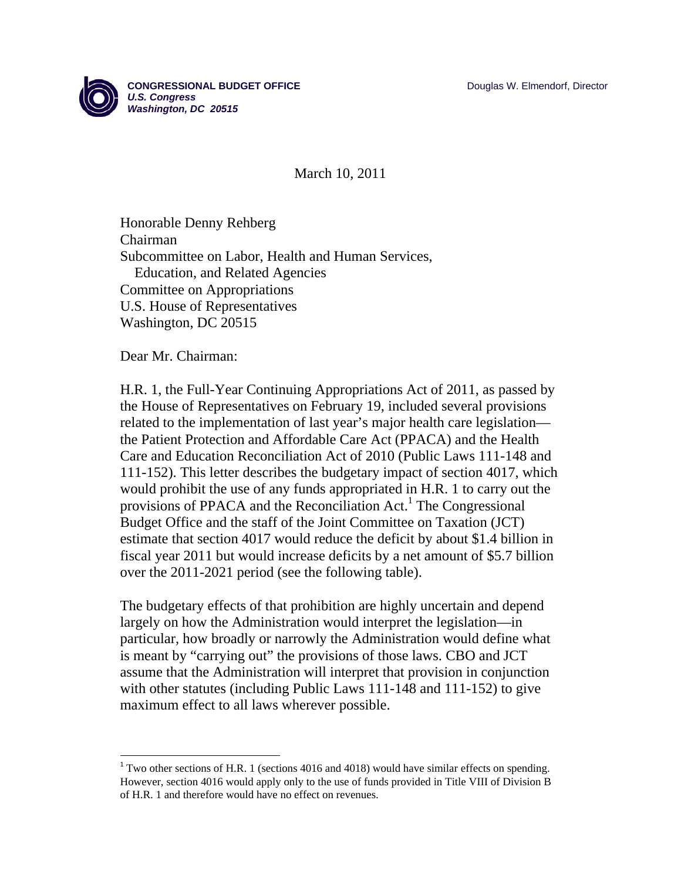

March 10, 2011

Honorable Denny Rehberg Chairman Subcommittee on Labor, Health and Human Services, Education, and Related Agencies Committee on Appropriations U.S. House of Representatives Washington, DC 20515

Dear Mr. Chairman:

H.R. 1, the Full-Year Continuing Appropriations Act of 2011, as passed by the House of Representatives on February 19, included several provisions related to the implementation of last year's major health care legislation the Patient Protection and Affordable Care Act (PPACA) and the Health Care and Education Reconciliation Act of 2010 (Public Laws 111-148 and 111-152). This letter describes the budgetary impact of section 4017, which would prohibit the use of any funds appropriated in H.R. 1 to carry out the provisions of PPACA and the Reconciliation Act.<sup>1</sup> The Congressional Budget Office and the staff of the Joint Committee on Taxation (JCT) estimate that section 4017 would reduce the deficit by about \$1.4 billion in fiscal year 2011 but would increase deficits by a net amount of \$5.7 billion over the 2011-2021 period (see the following table).

The budgetary effects of that prohibition are highly uncertain and depend largely on how the Administration would interpret the legislation—in particular, how broadly or narrowly the Administration would define what is meant by "carrying out" the provisions of those laws. CBO and JCT assume that the Administration will interpret that provision in conjunction with other statutes (including Public Laws 111-148 and 111-152) to give maximum effect to all laws wherever possible.

 $1$ <sup>1</sup> Two other sections of H.R. 1 (sections 4016 and 4018) would have similar effects on spending. However, section 4016 would apply only to the use of funds provided in Title VIII of Division B of H.R. 1 and therefore would have no effect on revenues.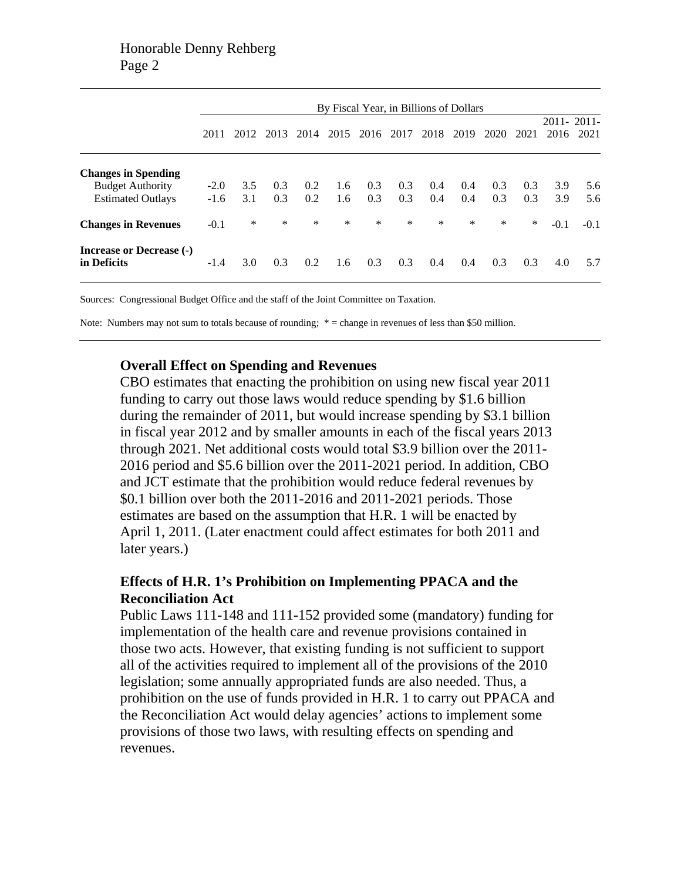|                                         | By Fiscal Year, in Billions of Dollars |        |      |      |        |           |        |        |      |        |      |        |            |
|-----------------------------------------|----------------------------------------|--------|------|------|--------|-----------|--------|--------|------|--------|------|--------|------------|
|                                         |                                        |        |      |      |        |           |        |        |      |        |      |        | 2011-2011- |
|                                         | 2011                                   | 2012   | 2013 | 2014 |        | 2015 2016 | 2017   | 2018   | 2019 | 2020   | 2021 |        | 2016 2021  |
|                                         |                                        |        |      |      |        |           |        |        |      |        |      |        |            |
| <b>Changes in Spending</b>              |                                        |        |      |      |        |           |        |        |      |        |      |        |            |
| <b>Budget Authority</b>                 | $-2.0$                                 | 3.5    | 0.3  | 0.2  | 1.6    | 0.3       | 0.3    | 0.4    | 0.4  | 0.3    | 0.3  | 3.9    | 5.6        |
| <b>Estimated Outlays</b>                | $-1.6$                                 | 3.1    | 0.3  | 0.2  | 1.6    | 0.3       | 0.3    | 0.4    | 0.4  | 0.3    | 0.3  | 3.9    | 5.6        |
| <b>Changes in Revenues</b>              | $-0.1$                                 | $\ast$ | *    | *    | $\ast$ | $\ast$    | $\ast$ | $\ast$ | ∗    | $\ast$ | *    | $-0.1$ | $-0.1$     |
| Increase or Decrease (-)<br>in Deficits | $-1.4$                                 | 3.0    | 0.3  | 0.2  | 1.6    | 0.3       | 0.3    | 0.4    | 0.4  | 0.3    | 0.3  | 4.0    | 5.7        |

Sources: Congressional Budget Office and the staff of the Joint Committee on Taxation.

Note: Numbers may not sum to totals because of rounding;  $* =$  change in revenues of less than \$50 million.

## **Overall Effect on Spending and Revenues**

CBO estimates that enacting the prohibition on using new fiscal year 2011 funding to carry out those laws would reduce spending by \$1.6 billion during the remainder of 2011, but would increase spending by \$3.1 billion in fiscal year 2012 and by smaller amounts in each of the fiscal years 2013 through 2021. Net additional costs would total \$3.9 billion over the 2011- 2016 period and \$5.6 billion over the 2011-2021 period. In addition, CBO and JCT estimate that the prohibition would reduce federal revenues by \$0.1 billion over both the 2011-2016 and 2011-2021 periods. Those estimates are based on the assumption that H.R. 1 will be enacted by April 1, 2011. (Later enactment could affect estimates for both 2011 and later years.)

## **Effects of H.R. 1's Prohibition on Implementing PPACA and the Reconciliation Act**

Public Laws 111-148 and 111-152 provided some (mandatory) funding for implementation of the health care and revenue provisions contained in those two acts. However, that existing funding is not sufficient to support all of the activities required to implement all of the provisions of the 2010 legislation; some annually appropriated funds are also needed. Thus, a prohibition on the use of funds provided in H.R. 1 to carry out PPACA and the Reconciliation Act would delay agencies' actions to implement some provisions of those two laws, with resulting effects on spending and revenues.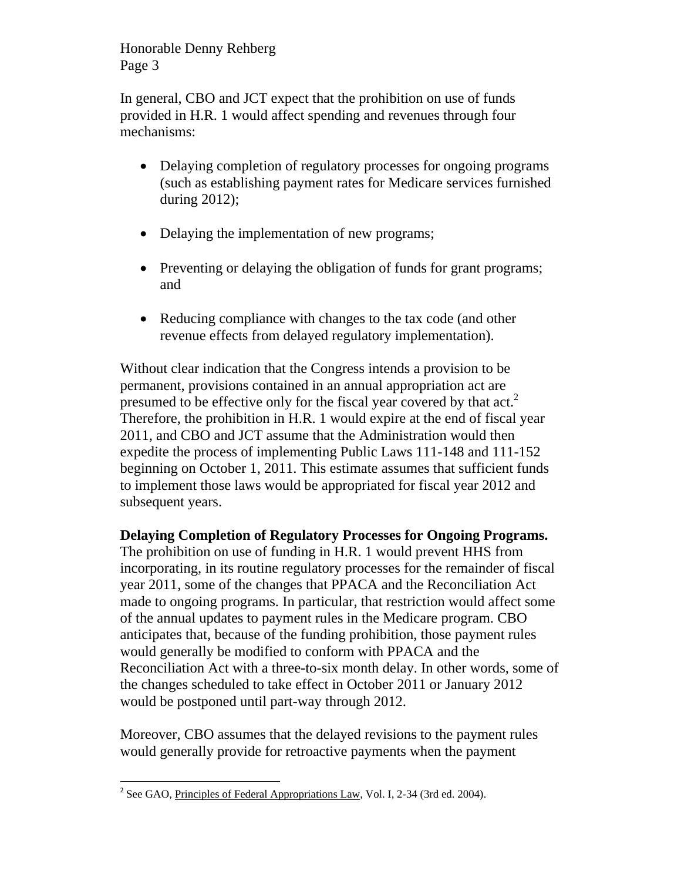In general, CBO and JCT expect that the prohibition on use of funds provided in H.R. 1 would affect spending and revenues through four mechanisms:

- Delaying completion of regulatory processes for ongoing programs (such as establishing payment rates for Medicare services furnished during 2012);
- Delaying the implementation of new programs;
- Preventing or delaying the obligation of funds for grant programs; and
- Reducing compliance with changes to the tax code (and other revenue effects from delayed regulatory implementation).

Without clear indication that the Congress intends a provision to be permanent, provisions contained in an annual appropriation act are presumed to be effective only for the fiscal year covered by that act.<sup>2</sup> Therefore, the prohibition in H.R. 1 would expire at the end of fiscal year 2011, and CBO and JCT assume that the Administration would then expedite the process of implementing Public Laws 111-148 and 111-152 beginning on October 1, 2011. This estimate assumes that sufficient funds to implement those laws would be appropriated for fiscal year 2012 and subsequent years.

**Delaying Completion of Regulatory Processes for Ongoing Programs.**  The prohibition on use of funding in H.R. 1 would prevent HHS from incorporating, in its routine regulatory processes for the remainder of fiscal year 2011, some of the changes that PPACA and the Reconciliation Act made to ongoing programs. In particular, that restriction would affect some of the annual updates to payment rules in the Medicare program. CBO anticipates that, because of the funding prohibition, those payment rules would generally be modified to conform with PPACA and the Reconciliation Act with a three-to-six month delay. In other words, some of the changes scheduled to take effect in October 2011 or January 2012 would be postponed until part-way through 2012.

Moreover, CBO assumes that the delayed revisions to the payment rules would generally provide for retroactive payments when the payment

 <sup>2</sup> See GAO, Principles of Federal Appropriations Law, Vol. I, 2-34 (3rd ed. 2004).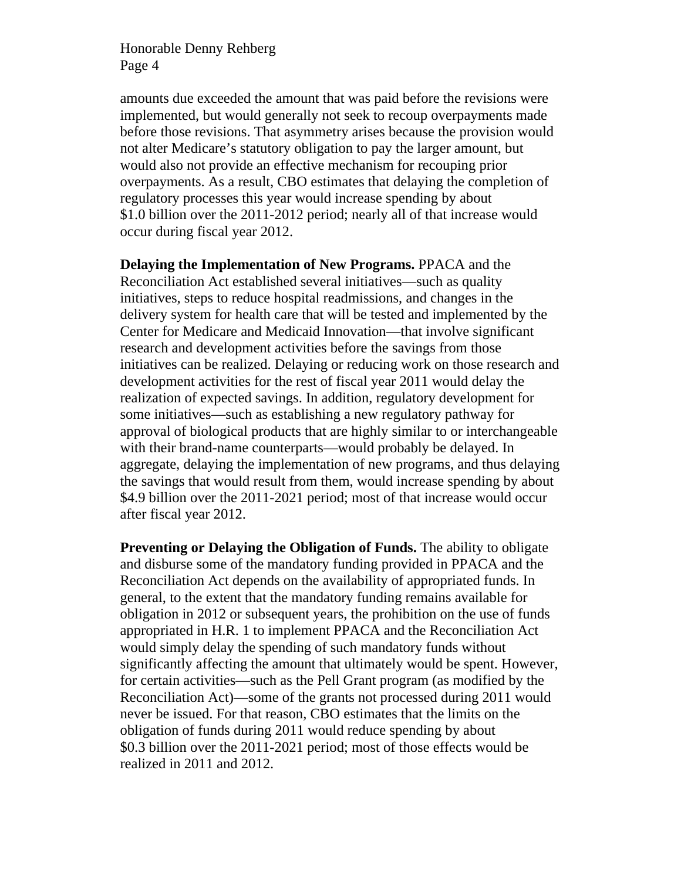amounts due exceeded the amount that was paid before the revisions were implemented, but would generally not seek to recoup overpayments made before those revisions. That asymmetry arises because the provision would not alter Medicare's statutory obligation to pay the larger amount, but would also not provide an effective mechanism for recouping prior overpayments. As a result, CBO estimates that delaying the completion of regulatory processes this year would increase spending by about \$1.0 billion over the 2011-2012 period; nearly all of that increase would occur during fiscal year 2012.

**Delaying the Implementation of New Programs.** PPACA and the Reconciliation Act established several initiatives—such as quality initiatives, steps to reduce hospital readmissions, and changes in the delivery system for health care that will be tested and implemented by the Center for Medicare and Medicaid Innovation—that involve significant research and development activities before the savings from those initiatives can be realized. Delaying or reducing work on those research and development activities for the rest of fiscal year 2011 would delay the realization of expected savings. In addition, regulatory development for some initiatives—such as establishing a new regulatory pathway for approval of biological products that are highly similar to or interchangeable with their brand-name counterparts—would probably be delayed. In aggregate, delaying the implementation of new programs, and thus delaying the savings that would result from them, would increase spending by about \$4.9 billion over the 2011-2021 period; most of that increase would occur after fiscal year 2012.

**Preventing or Delaying the Obligation of Funds.** The ability to obligate and disburse some of the mandatory funding provided in PPACA and the Reconciliation Act depends on the availability of appropriated funds. In general, to the extent that the mandatory funding remains available for obligation in 2012 or subsequent years, the prohibition on the use of funds appropriated in H.R. 1 to implement PPACA and the Reconciliation Act would simply delay the spending of such mandatory funds without significantly affecting the amount that ultimately would be spent. However, for certain activities—such as the Pell Grant program (as modified by the Reconciliation Act)—some of the grants not processed during 2011 would never be issued. For that reason, CBO estimates that the limits on the obligation of funds during 2011 would reduce spending by about \$0.3 billion over the 2011-2021 period; most of those effects would be realized in 2011 and 2012.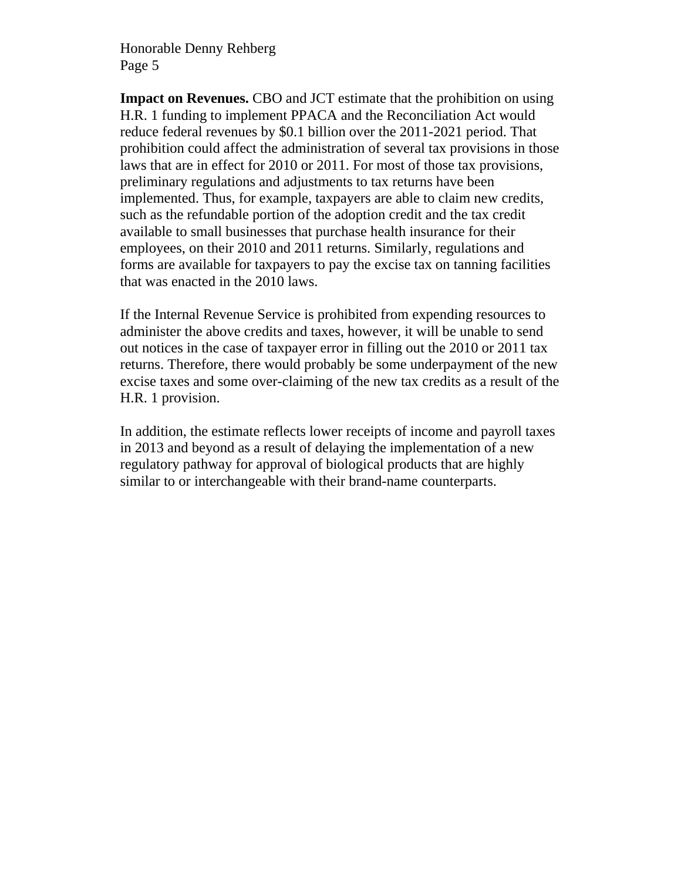**Impact on Revenues.** CBO and JCT estimate that the prohibition on using H.R. 1 funding to implement PPACA and the Reconciliation Act would reduce federal revenues by \$0.1 billion over the 2011-2021 period. That prohibition could affect the administration of several tax provisions in those laws that are in effect for 2010 or 2011. For most of those tax provisions, preliminary regulations and adjustments to tax returns have been implemented. Thus, for example, taxpayers are able to claim new credits, such as the refundable portion of the adoption credit and the tax credit available to small businesses that purchase health insurance for their employees, on their 2010 and 2011 returns. Similarly, regulations and forms are available for taxpayers to pay the excise tax on tanning facilities that was enacted in the 2010 laws.

If the Internal Revenue Service is prohibited from expending resources to administer the above credits and taxes, however, it will be unable to send out notices in the case of taxpayer error in filling out the 2010 or 2011 tax returns. Therefore, there would probably be some underpayment of the new excise taxes and some over-claiming of the new tax credits as a result of the H.R. 1 provision.

In addition, the estimate reflects lower receipts of income and payroll taxes in 2013 and beyond as a result of delaying the implementation of a new regulatory pathway for approval of biological products that are highly similar to or interchangeable with their brand-name counterparts.